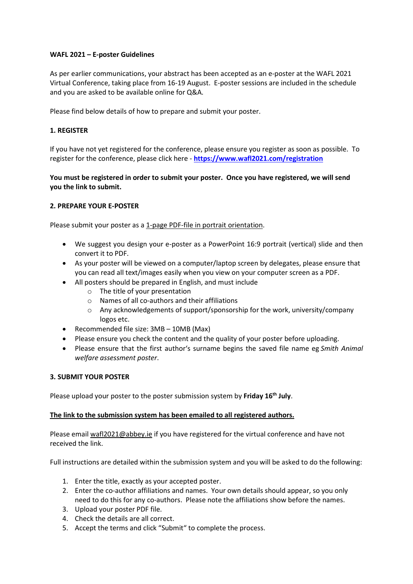# WAFL 2021 – E-poster Guidelines

As per earlier communications, your abstract has been accepted as an e-poster at the WAFL 2021 Virtual Conference, taking place from 16-19 August. E-poster sessions are included in the schedule and you are asked to be available online for Q&A.

Please find below details of how to prepare and submit your poster.

# 1. REGISTER

If you have not yet registered for the conference, please ensure you register as soon as possible. To register for the conference, please click here - https://www.wafl2021.com/registration

# You must be registered in order to submit your poster. Once you have registered, we will send you the link to submit.

# 2. PREPARE YOUR E-POSTER

Please submit your poster as a 1-page PDF-file in portrait orientation.

- We suggest you design your e-poster as a PowerPoint 16:9 portrait (vertical) slide and then convert it to PDF.
- As your poster will be viewed on a computer/laptop screen by delegates, please ensure that you can read all text/images easily when you view on your computer screen as a PDF.
- All posters should be prepared in English, and must include
	- o The title of your presentation
	- o Names of all co-authors and their affiliations
	- o Any acknowledgements of support/sponsorship for the work, university/company logos etc.
- Recommended file size: 3MB 10MB (Max)
- Please ensure you check the content and the quality of your poster before uploading.
- Please ensure that the first author's surname begins the saved file name eg Smith Animal welfare assessment poster.

#### 3. SUBMIT YOUR POSTER

Please upload your poster to the poster submission system by Friday 16<sup>th</sup> July.

#### The link to the submission system has been emailed to all registered authors.

Please email wafl2021@abbey.ie if you have registered for the virtual conference and have not received the link.

Full instructions are detailed within the submission system and you will be asked to do the following:

- 1. Enter the title, exactly as your accepted poster.
- 2. Enter the co-author affiliations and names. Your own details should appear, so you only need to do this for any co-authors. Please note the affiliations show before the names.
- 3. Upload your poster PDF file.
- 4. Check the details are all correct.
- 5. Accept the terms and click "Submit" to complete the process.